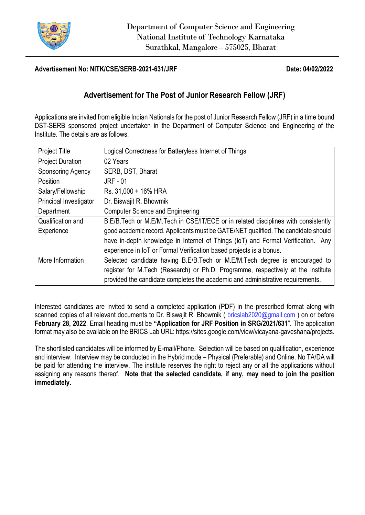

## **Advertisement No: NITK/CSE/SERB-2021-631/JRF Date: 04/02/2022**

## **Advertisement for The Post of Junior Research Fellow (JRF)**

Applications are invited from eligible Indian Nationals for the post of Junior Research Fellow (JRF) in a time bound DST-SERB sponsored project undertaken in the Department of Computer Science and Engineering of the Institute. The details are as follows.

| <b>Project Title</b>     | Logical Correctness for Batteryless Internet of Things                             |  |  |  |  |  |
|--------------------------|------------------------------------------------------------------------------------|--|--|--|--|--|
| <b>Project Duration</b>  | 02 Years                                                                           |  |  |  |  |  |
| <b>Sponsoring Agency</b> | SERB, DST, Bharat                                                                  |  |  |  |  |  |
| Position                 | <b>JRF - 01</b>                                                                    |  |  |  |  |  |
| Salary/Fellowship        | Rs. 31,000 + 16% HRA                                                               |  |  |  |  |  |
| Principal Investigator   | Dr. Biswajit R. Bhowmik                                                            |  |  |  |  |  |
| Department               | <b>Computer Science and Engineering</b>                                            |  |  |  |  |  |
| Qualification and        | B.E/B.Tech or M.E/M.Tech in CSE/IT/ECE or in related disciplines with consistently |  |  |  |  |  |
| Experience               | good academic record. Applicants must be GATE/NET qualified. The candidate should  |  |  |  |  |  |
|                          | have in-depth knowledge in Internet of Things (IoT) and Formal Verification. Any   |  |  |  |  |  |
|                          | experience in IoT or Formal Verification based projects is a bonus.                |  |  |  |  |  |
| More Information         | Selected candidate having B.E/B.Tech or M.E/M.Tech degree is encouraged to         |  |  |  |  |  |
|                          | register for M.Tech (Research) or Ph.D. Programme, respectively at the institute   |  |  |  |  |  |
|                          | provided the candidate completes the academic and administrative requirements.     |  |  |  |  |  |

Interested candidates are invited to send a completed application (PDF) in the prescribed format along with scanned copies of all relevant documents to Dr. Biswajit R. Bhowmik ( [bricslab2020@gmail.com](mailto:bricslab2020@gmail.com) ) on or before **February 28, 2022**. Email heading must be **"Application for JRF Position in SRG/2021/631**". The application format may also be available on the BRICS Lab URL: https://sites.google.com/view/vicayana-gaveshana/projects.

The shortlisted candidates will be informed by E-mail/Phone. Selection will be based on qualification, experience and interview. Interview may be conducted in the Hybrid mode – Physical (Preferable) and Online. No TA/DA will be paid for attending the interview. The institute reserves the right to reject any or all the applications without assigning any reasons thereof. **Note that the selected candidate, if any, may need to join the position immediately.**